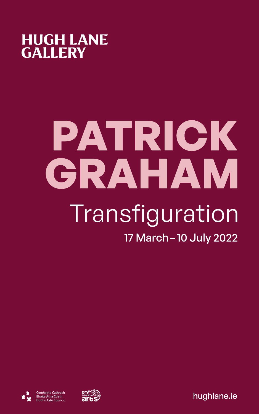

# PATRICK GRAHAM Transfiguration 17 March-10 July 2022





[hughlane.ie](http://hughlane.ie)